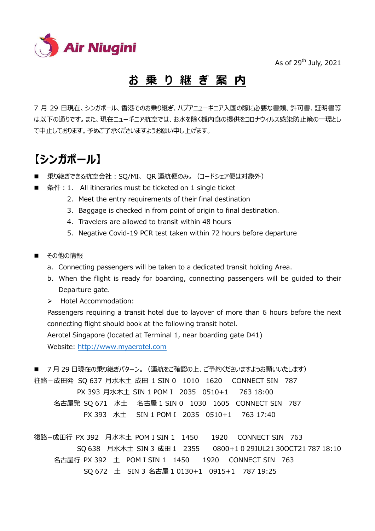

As of  $29<sup>th</sup>$  July, 2021

### **お 乗 り 継 ぎ 案 内**

7 月 29 日現在、シンガポール、香港でのお乗り継ぎ、パプアニューギニア入国の際に必要な書類、許可書、証明書等 は以下の通りです。また、現在ニューギニア航空では、お水を除く機内食の提供をコロナウィルス感染防止策の一環とし て中止しております。予めご了承くださいますようお願い申し上げます。

## **【シンガポール】**

- 乗り継ぎできる航空会社: SQ/MI、 OR 運航便のみ。 (コードシェア便は対象外)
- 条件: 1. All itineraries must be ticketed on 1 single ticket
	- 2. Meet the entry requirements of their final destination
	- 3. Baggage is checked in from point of origin to final destination.
	- 4. Travelers are allowed to transit within 48 hours
	- 5. Negative Covid-19 PCR test taken within 72 hours before departure
- その他の情報
	- a. Connecting passengers will be taken to a dedicated transit holding Area.
	- b. When the flight is ready for boarding, connecting passengers will be guided to their Departure gate.
	- > Hotel Accommodation:

Passengers requiring a transit hotel due to layover of more than 6 hours before the next connecting flight should book at the following transit hotel. Aerotel Singapore (located at Terminal 1, near boarding gate D41) Website: http://www.myaerotel.com

■ 7月 29 日現在の乗り継ぎパターン。 (運航をご確認の上、ご予約くださいますようお願いいたします) 往路-成田発 SQ 637 月水木土 成田 1 SIN 0 1010 1620 CONNECT SIN 787 PX 393 月水木土 SIN 1 POM I 2035 0510+1 763 18:00 名古屋発 SQ 671 水土 名古屋 1 SIN 0 1030 1605 CONNECT SIN 787 PX 393 水土 SIN 1 POM I 2035 0510+1 763 17:40

復路ー成田⾏ PX 392 月水木土 POM I SIN 1 1450 1920 CONNECT SIN 763 SQ 638 月水木土 SIN 3 成田 1 2355 0800+1 0 29JUL21 30OCT21 787 18:10 名古屋行 PX 392 土 POM I SIN 1 1450 1920 CONNECT SIN 763 SQ 672 土 SIN 3 名古屋 1 0130+1 0915+1 787 19:25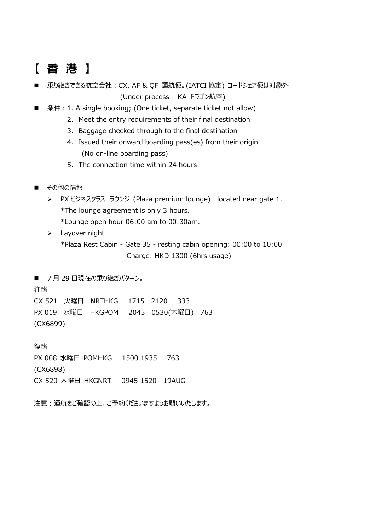# **【 香 港 】**

- 乗り継ぎできる航空会社:CX, AF & QF 運航便。(IATCI 協定) コードシェア便は対象外 (Under process – KA ドラゴン航空)
- 条件: 1. A single booking; (One ticket, separate ticket not allow)
	- 2. Meet the entry requirements of their final destination
	- 3. Baggage checked through to the final destination
	- 4. Issued their onward boarding pass(es) from their origin (No on-line boarding pass)
	- 5. The connection time within 24 hours
- その他の情報
	- ▶ PX ビジネスクラス ラウンジ (Plaza premium lounge) located near gate 1. \*The lounge agreement is only 3 hours. \*Lounge open hour 06:00 am to 00:30am.
	- > Layover night \*Plaza Rest Cabin - Gate 35 - resting cabin opening: 00:00 to 10:00 Charge: HKD 1300 (6hrs usage)

■ 7月 29 日現在の乗り継ぎパターン。 往路 CX 521 火曜日 NRTHKG 1715 2120 333 PX 019 水曜日 HKGPOM 2045 0530(木曜日) 763 (CX6899)

復路 PX 008 水曜日 POMHKG 1500 1935 763 (CX6898) CX 520 木曜日 HKGNRT 0945 1520 19AUG

注意:運航をご確認の上、ご予約くださいますようお願いいたします。